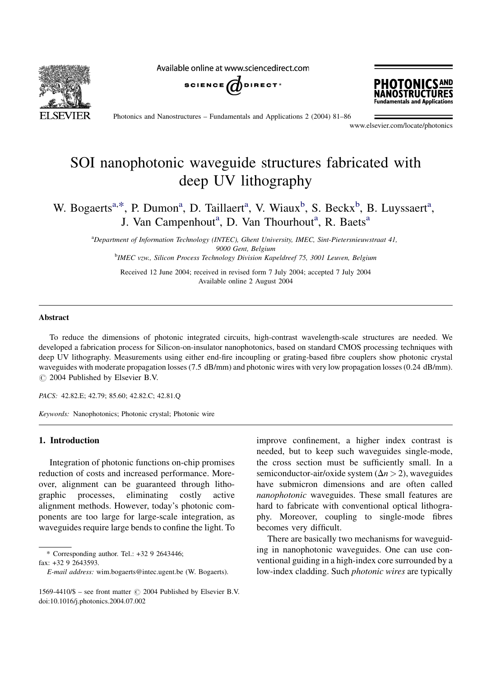

Available online at www.sciencedirect.com





Photonics and Nanostructures – Fundamentals and Applications 2 (2004) 81–86

www.elsevier.com/locate/photonics

# SOI nanophotonic waveguide structures fabricated with deep UV lithography

W. Bogaerts<sup>a,\*</sup>, P. Dumon<sup>a</sup>, D. Taillaert<sup>a</sup>, V. Wiaux<sup>b</sup>, S. Beckx<sup>b</sup>, B. Luyssaert<sup>a</sup>, J. Van Campenhout<sup>a</sup>, D. Van Thourhout<sup>a</sup>, R. Baets<sup>a</sup>

> <sup>a</sup>Department of Information Technology (INTEC), Ghent University, IMEC, Sint-Pietersnieuwstraat 41, 9000 Gent, Belgium **b**IMEC vzw., Silicon Process Technology Division Kapeldreef 75, 3001 Leuven, Belgium

Received 12 June 2004; received in revised form 7 July 2004; accepted 7 July 2004 Available online 2 August 2004

#### Abstract

To reduce the dimensions of photonic integrated circuits, high-contrast wavelength-scale structures are needed. We developed a fabrication process for Silicon-on-insulator nanophotonics, based on standard CMOS processing techniques with deep UV lithography. Measurements using either end-fire incoupling or grating-based fibre couplers show photonic crystal waveguides with moderate propagation losses (7.5 dB/mm) and photonic wires with very low propagation losses (0.24 dB/mm).  $\odot$  2004 Published by Elsevier B.V.

PACS: 42.82.E; 42.79; 85.60; 42.82.C; 42.81.Q

Keywords: Nanophotonics; Photonic crystal; Photonic wire

## 1. Introduction

Integration of photonic functions on-chip promises reduction of costs and increased performance. Moreover, alignment can be guaranteed through lithographic processes, eliminating costly active alignment methods. However, today's photonic components are too large for large-scale integration, as waveguides require large bends to confine the light. To

\* Corresponding author. Tel.:  $+3292643446$ ;

fax: +32 9 2643593.

improve confinement, a higher index contrast is needed, but to keep such waveguides single-mode, the cross section must be sufficiently small. In a semiconductor-air/oxide system  $(\Delta n > 2)$ , waveguides have submicron dimensions and are often called nanophotonic waveguides. These small features are hard to fabricate with conventional optical lithography. Moreover, coupling to single-mode fibres becomes very difficult.

There are basically two mechanisms for waveguiding in nanophotonic waveguides. One can use conventional guiding in a high-index core surrounded by a low-index cladding. Such photonic wires are typically

E-mail address: wim.bogaerts@intec.ugent.be (W. Bogaerts).

<sup>1569-4410/\$ -</sup> see front matter  $\odot$  2004 Published by Elsevier B.V. doi:10.1016/j.photonics.2004.07.002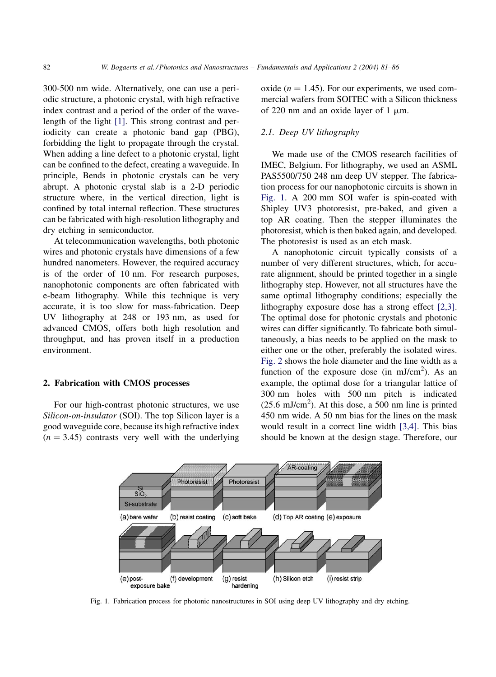300-500 nm wide. Alternatively, one can use a periodic structure, a photonic crystal, with high refractive index contrast and a period of the order of the wavelength of the light [\[1\]](#page-5-0). This strong contrast and periodicity can create a photonic band gap (PBG), forbidding the light to propagate through the crystal. When adding a line defect to a photonic crystal, light can be confined to the defect, creating a waveguide. In principle, Bends in photonic crystals can be very abrupt. A photonic crystal slab is a 2-D periodic structure where, in the vertical direction, light is confined by total internal reflection. These structures can be fabricated with high-resolution lithography and dry etching in semiconductor.

At telecommunication wavelengths, both photonic wires and photonic crystals have dimensions of a few hundred nanometers. However, the required accuracy is of the order of 10 nm. For research purposes, nanophotonic components are often fabricated with e-beam lithography. While this technique is very accurate, it is too slow for mass-fabrication. Deep UV lithography at 248 or 193 nm, as used for advanced CMOS, offers both high resolution and throughput, and has proven itself in a production environment.

### 2. Fabrication with CMOS processes

For our high-contrast photonic structures, we use Silicon-on-insulator (SOI). The top Silicon layer is a good waveguide core, because its high refractive index  $(n = 3.45)$  contrasts very well with the underlying oxide ( $n = 1.45$ ). For our experiments, we used commercial wafers from SOITEC with a Silicon thickness of 220 nm and an oxide layer of 1  $\mu$ m.

## 2.1. Deep UV lithography

We made use of the CMOS research facilities of IMEC, Belgium. For lithography, we used an ASML PAS5500/750 248 nm deep UV stepper. The fabrication process for our nanophotonic circuits is shown in Fig. 1. A 200 mm SOI wafer is spin-coated with Shipley UV3 photoresist, pre-baked, and given a top AR coating. Then the stepper illuminates the photoresist, which is then baked again, and developed. The photoresist is used as an etch mask.

A nanophotonic circuit typically consists of a number of very different structures, which, for accurate alignment, should be printed together in a single lithography step. However, not all structures have the same optimal lithography conditions; especially the lithography exposure dose has a strong effect [\[2,3\]](#page-5-0). The optimal dose for photonic crystals and photonic wires can differ significantly. To fabricate both simultaneously, a bias needs to be applied on the mask to either one or the other, preferably the isolated wires. [Fig. 2](#page-2-0) shows the hole diameter and the line width as a function of the exposure dose (in  $mJ/cm<sup>2</sup>$ ). As an example, the optimal dose for a triangular lattice of 300 nm holes with 500 nm pitch is indicated  $(25.6 \text{ mJ/cm}^2)$ . At this dose, a 500 nm line is printed 450 nm wide. A 50 nm bias for the lines on the mask would result in a correct line width [\[3,4\].](#page-5-0) This bias should be known at the design stage. Therefore, our



Fig. 1. Fabrication process for photonic nanostructures in SOI using deep UV lithography and dry etching.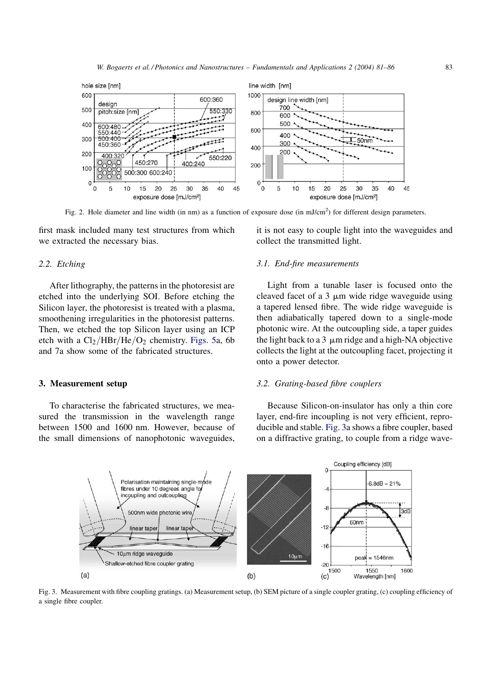<span id="page-2-0"></span>

Fig. 2. Hole diameter and line width (in nm) as a function of exposure dose (in mJ/cm<sup>2</sup>) for different design parameters.

first mask included many test structures from which we extracted the necessary bias.

### 2.2. Etching

After lithography, the patterns in the photoresist are etched into the underlying SOI. Before etching the Silicon layer, the photoresist is treated with a plasma, smoothening irregularities in the photoresist patterns. Then, we etched the top Silicon layer using an ICP etch with a  $Cl_2/HBr/He/O_2$  chemistry. [Figs. 5](#page-3-0)a, 6b and 7a show some of the fabricated structures.

### 3. Measurement setup

To characterise the fabricated structures, we measured the transmission in the wavelength range between 1500 and 1600 nm. However, because of the small dimensions of nanophotonic waveguides,

it is not easy to couple light into the waveguides and collect the transmitted light.

## 3.1. End-fire measurements

Light from a tunable laser is focused onto the cleaved facet of a  $3 \mu m$  wide ridge waveguide using a tapered lensed fibre. The wide ridge waveguide is then adiabatically tapered down to a single-mode photonic wire. At the outcoupling side, a taper guides the light back to a 3  $\mu$ m ridge and a high-NA objective collects the light at the outcoupling facet, projecting it onto a power detector.

### 3.2. Grating-based fibre couplers

Because Silicon-on-insulator has only a thin core layer, end-fire incoupling is not very efficient, reproducible and stable. Fig. 3a shows a fibre coupler, based on a diffractive grating, to couple from a ridge wave-



Fig. 3. Measurement with fibre coupling gratings. (a) Measurement setup, (b) SEM picture of a single coupler grating, (c) coupling efficiency of a single fibre coupler.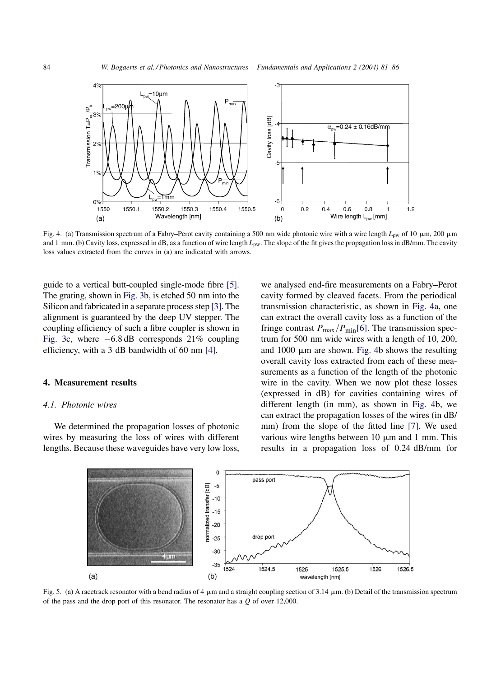<span id="page-3-0"></span>

Fig. 4. (a) Transmission spectrum of a Fabry–Perot cavity containing a 500 nm wide photonic wire with a wire length  $L_{pw}$  of 10  $\mu$ m, 200  $\mu$ m and 1 mm. (b) Cavity loss, expressed in dB, as a function of wire length  $L_{pw}$ . The slope of the fit gives the propagation loss in dB/mm. The cavity loss values extracted from the curves in (a) are indicated with arrows.

guide to a vertical butt-coupled single-mode fibre [\[5\]](#page-5-0). The grating, shown in [Fig. 3](#page-2-0)b, is etched 50 nm into the Silicon and fabricated in a separate process step [\[3\]](#page-5-0). The alignment is guaranteed by the deep UV stepper. The coupling efficiency of such a fibre coupler is shown in [Fig. 3c](#page-2-0), where  $-6.8$  dB corresponds 21% coupling efficiency, with a 3 dB bandwidth of 60 nm [\[4\].](#page-5-0)

### 4. Measurement results

#### 4.1. Photonic wires

We determined the propagation losses of photonic wires by measuring the loss of wires with different lengths. Because these waveguides have very low loss, we analysed end-fire measurements on a Fabry–Perot cavity formed by cleaved facets. From the periodical transmission characteristic, as shown in Fig. 4a, one can extract the overall cavity loss as a function of the fringe contrast  $P_{\text{max}}/P_{\text{min}}[6]$  $P_{\text{max}}/P_{\text{min}}[6]$ . The transmission spectrum for 500 nm wide wires with a length of 10, 200, and  $1000 \mu m$  are shown. Fig. 4b shows the resulting overall cavity loss extracted from each of these measurements as a function of the length of the photonic wire in the cavity. When we now plot these losses (expressed in dB) for cavities containing wires of different length (in mm), as shown in Fig. 4b, we can extract the propagation losses of the wires (in dB/ mm) from the slope of the fitted line [\[7\]](#page-5-0). We used various wire lengths between  $10 \mu m$  and  $1 \mu m$ . This results in a propagation loss of 0.24 dB/mm for



Fig. 5. (a) A racetrack resonator with a bend radius of 4  $\mu$ m and a straight coupling section of 3.14  $\mu$ m. (b) Detail of the transmission spectrum of the pass and the drop port of this resonator. The resonator has a  $Q$  of over 12,000.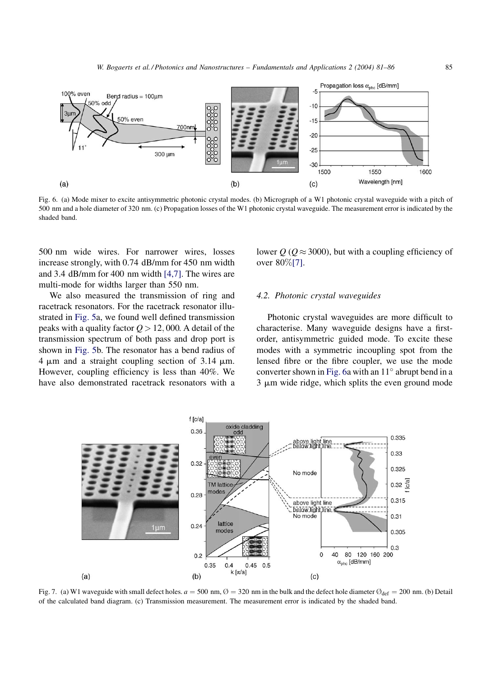<span id="page-4-0"></span>

Fig. 6. (a) Mode mixer to excite antisymmetric photonic crystal modes. (b) Micrograph of a W1 photonic crystal waveguide with a pitch of 500 nm and a hole diameter of 320 nm. (c) Propagation losses of the W1 photonic crystal waveguide. The measurement error is indicated by the shaded band.

500 nm wide wires. For narrower wires, losses increase strongly, with 0.74 dB/mm for 450 nm width and 3.4 dB/mm for 400 nm width [\[4,7\].](#page-5-0) The wires are multi-mode for widths larger than 550 nm.

We also measured the transmission of ring and racetrack resonators. For the racetrack resonator illustrated in [Fig. 5a](#page-3-0), we found well defined transmission peaks with a quality factor  $Q > 12,000$ . A detail of the transmission spectrum of both pass and drop port is shown in [Fig. 5](#page-3-0)b. The resonator has a bend radius of  $4 \mu m$  and a straight coupling section of 3.14  $\mu$ m. However, coupling efficiency is less than 40%. We have also demonstrated racetrack resonators with a

lower  $Q$  ( $Q \approx 3000$ ), but with a coupling efficiency of over 80%[\[7\]](#page-5-0).

### 4.2. Photonic crystal waveguides

Photonic crystal waveguides are more difficult to characterise. Many waveguide designs have a firstorder, antisymmetric guided mode. To excite these modes with a symmetric incoupling spot from the lensed fibre or the fibre coupler, we use the mode converter shown in Fig. 6a with an  $11^\circ$  abrupt bend in a  $3 \mu m$  wide ridge, which splits the even ground mode



Fig. 7. (a) W1 waveguide with small defect holes.  $a = 500$  nm,  $\varnothing = 320$  nm in the bulk and the defect hole diameter  $\varnothing_{\text{def}} = 200$  nm. (b) Detail of the calculated band diagram. (c) Transmission measurement. The measurement error is indicated by the shaded band.